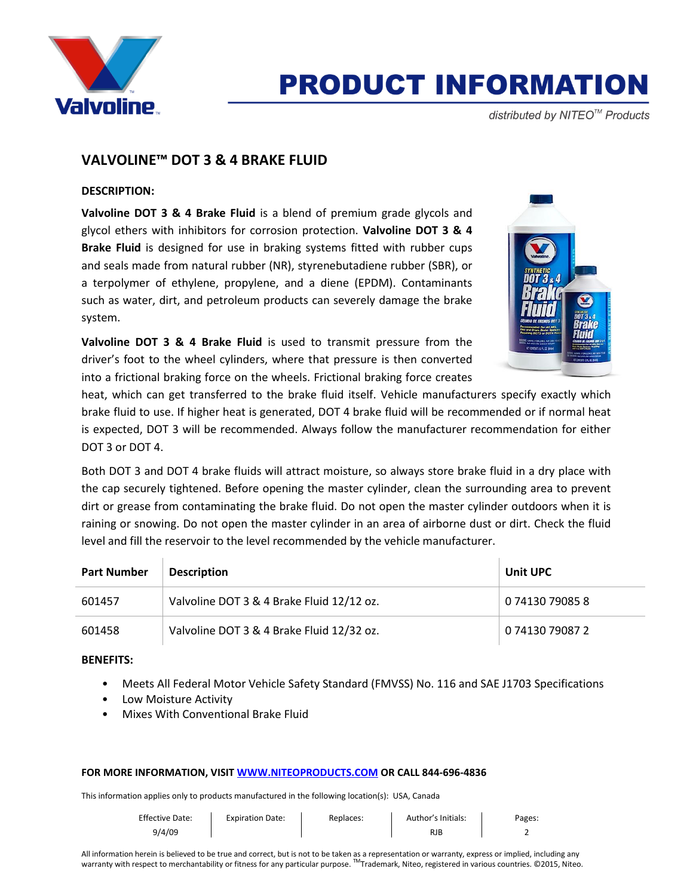

# **PRODUCT INFORMATION**

distributed by NITEO<sup>™</sup> Products

# **VALVOLINE™ DOT 3 & 4 BRAKE FLUID**

# **DESCRIPTION:**

**Valvoline DOT 3 & 4 Brake Fluid** is a blend of premium grade glycols and glycol ethers with inhibitors for corrosion protection. **Valvoline DOT 3 & 4 Brake Fluid** is designed for use in braking systems fitted with rubber cups and seals made from natural rubber (NR), styrenebutadiene rubber (SBR), or a terpolymer of ethylene, propylene, and a diene (EPDM). Contaminants such as water, dirt, and petroleum products can severely damage the brake system.

**Valvoline DOT 3 & 4 Brake Fluid** is used to transmit pressure from the driver's foot to the wheel cylinders, where that pressure is then converted into a frictional braking force on the wheels. Frictional braking force creates



heat, which can get transferred to the brake fluid itself. Vehicle manufacturers specify exactly which brake fluid to use. If higher heat is generated, DOT 4 brake fluid will be recommended or if normal heat is expected, DOT 3 will be recommended. Always follow the manufacturer recommendation for either DOT 3 or DOT 4.

Both DOT 3 and DOT 4 brake fluids will attract moisture, so always store brake fluid in a dry place with the cap securely tightened. Before opening the master cylinder, clean the surrounding area to prevent dirt or grease from contaminating the brake fluid. Do not open the master cylinder outdoors when it is raining or snowing. Do not open the master cylinder in an area of airborne dust or dirt. Check the fluid level and fill the reservoir to the level recommended by the vehicle manufacturer.

| <b>Part Number</b> | <b>Description</b>                        | <b>Unit UPC</b> |
|--------------------|-------------------------------------------|-----------------|
| 601457             | Valvoline DOT 3 & 4 Brake Fluid 12/12 oz. | 0 74130 79085 8 |
| 601458             | Valvoline DOT 3 & 4 Brake Fluid 12/32 oz. | 0 74130 79087 2 |

## **BENEFITS:**

- Meets All Federal Motor Vehicle Safety Standard (FMVSS) No. 116 and SAE J1703 Specifications
- Low Moisture Activity
- Mixes With Conventional Brake Fluid

## **FOR MORE INFORMATION, VISI[T WWW.NITEOPRODUCTS.COM](http://www.niteoproducts.com/) OR CALL 844-696-4836**

This information applies only to products manufactured in the following location(s): USA, Canada

| <b>Effective Date:</b> | <b>Expiration Date:</b> | Replaces: | Author's Initials: | Pages: |
|------------------------|-------------------------|-----------|--------------------|--------|
| 9/4/09                 |                         |           | RJB                |        |

All information herein is believed to be true and correct, but is not to be taken as a representation or warranty, express or implied, including any warranty with respect to merchantability or fitness for any particular purpose. ™Trademark, Niteo, registered in various countries. ©2015, Niteo.